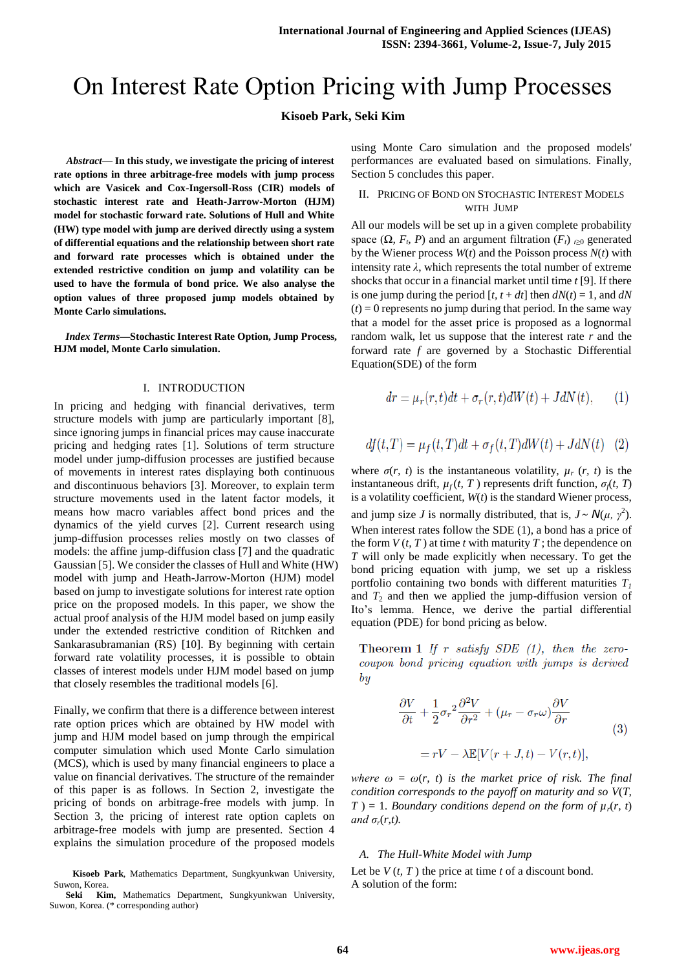# On Interest Rate Option Pricing with Jump Processes

## **Kisoeb Park, Seki Kim**

*Abstract***— In this study, we investigate the pricing of interest rate options in three arbitrage-free models with jump process which are Vasicek and Cox-Ingersoll-Ross (CIR) models of stochastic interest rate and Heath-Jarrow-Morton (HJM) model for stochastic forward rate. Solutions of Hull and White (HW) type model with jump are derived directly using a system of differential equations and the relationship between short rate and forward rate processes which is obtained under the extended restrictive condition on jump and volatility can be used to have the formula of bond price. We also analyse the option values of three proposed jump models obtained by Monte Carlo simulations.**

*Index Terms***—Stochastic Interest Rate Option, Jump Process, HJM model, Monte Carlo simulation.**

### I. INTRODUCTION

In pricing and hedging with financial derivatives, term structure models with jump are particularly important [8], since ignoring jumps in financial prices may cause inaccurate pricing and hedging rates [1]. Solutions of term structure model under jump-diffusion processes are justified because of movements in interest rates displaying both continuous and discontinuous behaviors [3]. Moreover, to explain term structure movements used in the latent factor models, it means how macro variables affect bond prices and the dynamics of the yield curves [2]. Current research using jump-diffusion processes relies mostly on two classes of models: the affine jump-diffusion class [7] and the quadratic Gaussian [5]. We consider the classes of Hull and White (HW) model with jump and Heath-Jarrow-Morton (HJM) model based on jump to investigate solutions for interest rate option price on the proposed models. In this paper, we show the actual proof analysis of the HJM model based on jump easily under the extended restrictive condition of Ritchken and Sankarasubramanian (RS) [10]. By beginning with certain forward rate volatility processes, it is possible to obtain classes of interest models under HJM model based on jump that closely resembles the traditional models [6].

Finally, we confirm that there is a difference between interest rate option prices which are obtained by HW model with jump and HJM model based on jump through the empirical computer simulation which used Monte Carlo simulation (MCS), which is used by many financial engineers to place a value on financial derivatives. The structure of the remainder of this paper is as follows. In Section 2, investigate the pricing of bonds on arbitrage-free models with jump. In Section 3, the pricing of interest rate option caplets on arbitrage-free models with jump are presented. Section 4 explains the simulation procedure of the proposed models

**Kisoeb Park**, Mathematics Department, Sungkyunkwan University, Suwon, Korea.

using Monte Caro simulation and the proposed models' performances are evaluated based on simulations. Finally, Section 5 concludes this paper.

## II. PRICING OF BOND ON STOCHASTIC INTEREST MODELS WITH JUMP

All our models will be set up in a given complete probability space  $(\Omega, F, P)$  and an argument filtration  $(F_t)_{t\geq0}$  generated by the Wiener process *W*(*t*) and the Poisson process *N*(*t*) with intensity rate  $\lambda$ , which represents the total number of extreme shocks that occur in a financial market until time *t* [9]. If there is one jump during the period  $[t, t + dt]$  then  $dN(t) = 1$ , and  $dN$  $(t) = 0$  represents no jump during that period. In the same way that a model for the asset price is proposed as a lognormal random walk, let us suppose that the interest rate *r* and the forward rate *f* are governed by a Stochastic Differential Equation(SDE) of the form

$$
dr = \mu_r(r, t)dt + \sigma_r(r, t)dW(t) + JdN(t), \qquad (1)
$$

$$
df(t,T) = \mu_f(t,T)dt + \sigma_f(t,T)dW(t) + JdN(t) \quad (2)
$$

where  $\sigma(r, t)$  is the instantaneous volatility,  $\mu_r(r, t)$  is the instantaneous drift,  $\mu_f(t, T)$  represents drift function,  $\sigma_f(t, T)$ is a volatility coefficient, *W*(*t*) is the standard Wiener process, and jump size *J* is normally distributed, that is,  $J \sim N(\mu, \gamma^2)$ . When interest rates follow the SDE (1), a bond has a price of the form  $V(t, T)$  at time *t* with maturity *T*; the dependence on *T* will only be made explicitly when necessary. To get the bond pricing equation with jump, we set up a riskless portfolio containing two bonds with different maturities *T<sup>1</sup>* and  $T_2$  and then we applied the jump-diffusion version of Ito's lemma. Hence, we derive the partial differential equation (PDE) for bond pricing as below.

Theorem 1 If r satisfy SDE  $(1)$ , then the zerocoupon bond pricing equation with jumps is derived  $\bm{b}$ 

$$
\frac{\partial V}{\partial t} + \frac{1}{2}\sigma_r^2 \frac{\partial^2 V}{\partial r^2} + (\mu_r - \sigma_r \omega) \frac{\partial V}{\partial r}
$$
  
=  $rV - \lambda \mathbb{E}[V(r+J,t) - V(r,t)],$  (3)

*where*  $\omega = \omega(r, t)$  *is the market price of risk. The final condition corresponds to the payoff on maturity and so V*(*T,*   $T$ ) = 1*. Boundary conditions depend on the form of*  $\mu_r(r, t)$ *and*  $\sigma_r(r,t)$ .

## *A. The Hull-White Model with Jump*

Let be  $V(t, T)$  the price at time  $t$  of a discount bond. A solution of the form:

**Seki Kim,** Mathematics Department, Sungkyunkwan University, Suwon, Korea. (\* corresponding author)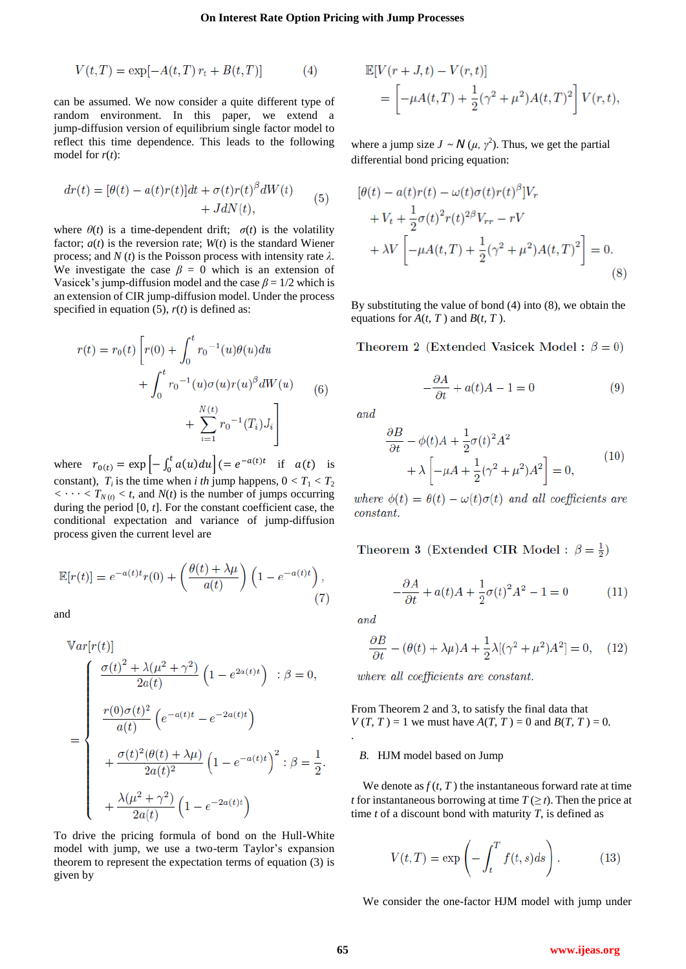$$
V(t,T) = \exp[-A(t,T) r_t + B(t,T)]
$$
 (4)

can be assumed. We now consider a quite different type of random environment. In this paper, we extend a jump-diffusion version of equilibrium single factor model to reflect this time dependence. This leads to the following model for *r*(*t*):

$$
dr(t) = [\theta(t) - a(t)r(t)]dt + \sigma(t)r(t)^{\beta}dW(t) + JdN(t),
$$
\n(5)

where  $\theta(t)$  is a time-dependent drift;  $\sigma(t)$  is the volatility factor;  $a(t)$  is the reversion rate;  $W(t)$  is the standard Wiener process; and  $N(t)$  is the Poisson process with intensity rate  $\lambda$ . We investigate the case  $\beta = 0$  which is an extension of Vasicek's jump-diffusion model and the case  $\beta = 1/2$  which is an extension of CIR jump-diffusion model. Under the process specified in equation  $(5)$ ,  $r(t)$  is defined as:

$$
r(t) = r_0(t) \left[ r(0) + \int_0^t r_0^{-1}(u)\theta(u)du + \int_0^t r_0^{-1}(u)\sigma(u)r(u)^{\beta}dW(u) + \sum_{i=1}^{N(t)} r_0^{-1}(T_i)J_i \right]
$$
(6)

where  $r_{0}(t) = \exp \left[ - \int_0^t a(u) du \right] (= e^{-a(t)t}$  if  $a(t)$  is constant),  $T_i$  is the time when *i th* jump happens,  $0 < T_1 < T_2$  $\langle \cdot \cdot \cdot \cdot \rangle$  *T*<sub>*N*(*t*)  $\langle t, \cdot \rangle$  *x t*, and *N*(*t*) is the number of jumps occurring</sub> during the period [0*, t*]. For the constant coefficient case, the conditional expectation and variance of jump-diffusion process given the current level are

$$
\mathbb{E}[r(t)] = e^{-a(t)t}r(0) + \left(\frac{\theta(t) + \lambda\mu}{a(t)}\right)\left(1 - e^{-a(t)t}\right),\tag{7}
$$

and

$$
\begin{aligned}\n\mathbb{V}ar[r(t)]\\
&= \begin{cases}\n\frac{\sigma(t)^2 + \lambda(\mu^2 + \gamma^2)}{2a(t)} \left(1 - e^{2a(t)t}\right) & \text{: } \beta = 0, \\
\frac{r(0)\sigma(t)^2}{a(t)} \left(e^{-a(t)t} - e^{-2a(t)t}\right) \\
& + \frac{\sigma(t)^2(\theta(t) + \lambda\mu)}{2a(t)^2} \left(1 - e^{-a(t)t}\right)^2 & \text{: } \beta = \frac{1}{2}.\n\end{cases} \\
& + \frac{\lambda(\mu^2 + \gamma^2)}{2a(t)} \left(1 - e^{-2a(t)t}\right)\n\end{aligned}
$$

To drive the pricing formula of bond on the Hull-White model with jump, we use a two-term Taylor's expansion theorem to represent the expectation terms of equation (3) is given by

$$
\mathbb{E}[V(r+J,t) - V(r,t)]
$$
  
= 
$$
\left[ -\mu A(t,T) + \frac{1}{2}(\gamma^2 + \mu^2)A(t,T)^2 \right] V(r,t),
$$

where a jump size  $J \sim N(\mu, \gamma^2)$ . Thus, we get the partial differential bond pricing equation:

$$
[\theta(t) - a(t)r(t) - \omega(t)\sigma(t)r(t)^{\beta}]V_r + V_t + \frac{1}{2}\sigma(t)^2r(t)^{2\beta}V_{rr} - rV + \lambda V \left[ -\mu A(t,T) + \frac{1}{2}(\gamma^2 + \mu^2)A(t,T)^2 \right] = 0.
$$
\n(8)

By substituting the value of bond (4) into (8), we obtain the equations for  $A(t, T)$  and  $B(t, T)$ .

Theorem 2 (Extended Vasicek Model:  $\beta = 0$ )

$$
-\frac{\partial A}{\partial t} + a(t)A - 1 = 0 \tag{9}
$$

and

$$
\frac{\partial B}{\partial t} - \phi(t)A + \frac{1}{2}\sigma(t)^2 A^2
$$
  
+  $\lambda \left[ -\mu A + \frac{1}{2}(\gamma^2 + \mu^2)A^2 \right] = 0,$  (10)

where  $\phi(t) = \theta(t) - \omega(t)\sigma(t)$  and all coefficients are  $constant.$ 

Theorem 3 (Extended CIR Model :  $\beta = \frac{1}{2}$ )

$$
-\frac{\partial A}{\partial t} + a(t)A + \frac{1}{2}\sigma(t)^2 A^2 - 1 = 0 \tag{11}
$$

and

.

$$
\frac{\partial B}{\partial t} - (\theta(t) + \lambda \mu)A + \frac{1}{2}\lambda[(\gamma^2 + \mu^2)A^2] = 0, \quad (12)
$$

where all coefficients are constant.

From Theorem 2 and 3, to satisfy the final data that  $V(T, T) = 1$  we must have  $A(T, T) = 0$  and  $B(T, T) = 0$ .

### *B.* HJM model based on Jump

We denote as  $f(t, T)$  the instantaneous forward rate at time *t* for instantaneous borrowing at time  $T \geq t$ . Then the price at time *t* of a discount bond with maturity *T*, is defined as

$$
V(t,T) = \exp\left(-\int_{t}^{T} f(t,s)ds\right).
$$
 (13)

We consider the one-factor HJM model with jump under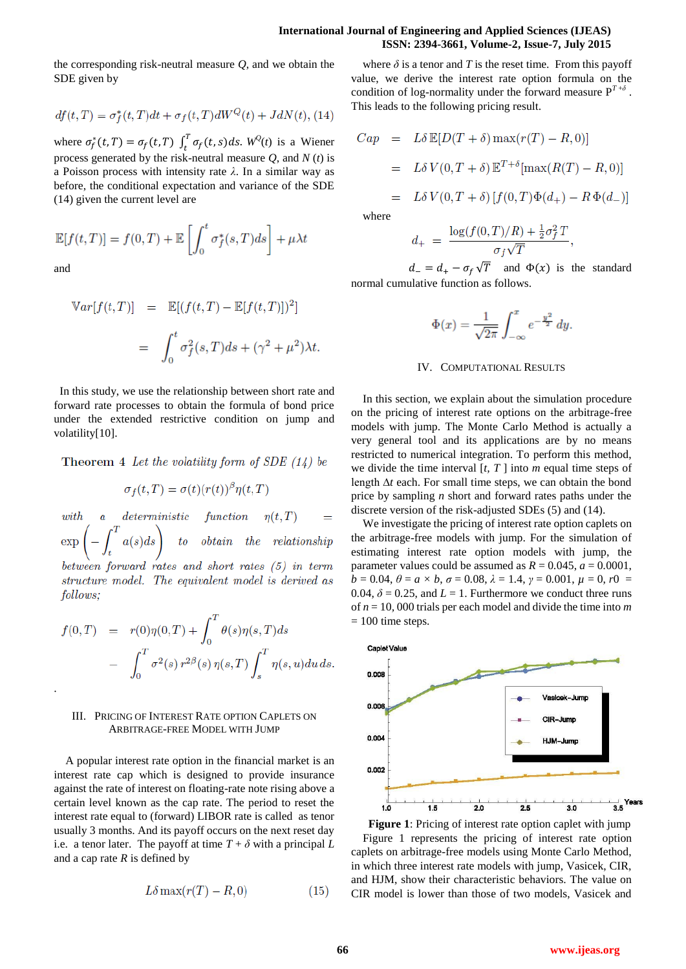## **International Journal of Engineering and Applied Sciences (IJEAS) ISSN: 2394-3661, Volume-2, Issue-7, July 2015**

the corresponding risk-neutral measure *Q*, and we obtain the SDE given by

$$
df(t,T) = \sigma_f^*(t,T)dt + \sigma_f(t,T)dW^Q(t) + JdN(t),
$$
 (14)

where  $\sigma_f^*(t, T) = \sigma_f(t, T) \int_t^T \sigma_f(t, s) ds$ .  $W^0(t)$  is a Wiener process generated by the risk-neutral measure *Q*, and *N* (*t*) is a Poisson process with intensity rate *λ*. In a similar way as before, the conditional expectation and variance of the SDE (14) given the current level are

$$
\mathbb{E}[f(t,T)] = f(0,T) + \mathbb{E}\left[\int_0^t \sigma_f^*(s,T)ds\right] + \mu \lambda t
$$

and

.

$$
\begin{aligned}\n\mathbb{V}ar[f(t,T)] &= \mathbb{E}[(f(t,T) - \mathbb{E}[f(t,T)])^2] \\
&= \int_0^t \sigma_f^2(s,T)ds + (\gamma^2 + \mu^2)\lambda t\n\end{aligned}
$$

In this study, we use the relationship between short rate and forward rate processes to obtain the formula of bond price under the extended restrictive condition on jump and volatility[10].

Theorem 4 Let the volatility form of SDE  $(14)$  be

$$
\sigma_f(t,T) = \sigma(t)(r(t))^{\beta} \eta(t,T)
$$

 $deterministic$  $function$  $with$  $\alpha$  $\left(-\int_t^T a(s)ds\right)$  to obtain the relationship  $\exp$ between forward rates and short rates (5) in term structure model. The equivalent model is derived as follows:

$$
f(0,T) = r(0)\eta(0,T) + \int_0^T \theta(s)\eta(s,T)ds
$$

$$
- \int_0^T \sigma^2(s) r^{2\beta}(s) \eta(s,T) \int_s^T \eta(s,u) du ds.
$$

## III. PRICING OF INTEREST RATE OPTION CAPLETS ON ARBITRAGE-FREE MODEL WITH JUMP

A popular interest rate option in the financial market is an interest rate cap which is designed to provide insurance against the rate of interest on floating-rate note rising above a certain level known as the cap rate. The period to reset the interest rate equal to (forward) LIBOR rate is called as tenor usually 3 months. And its payoff occurs on the next reset day i.e. a tenor later. The payoff at time  $T + \delta$  with a principal L and a cap rate *R* is defined by

$$
L\delta \max(r(T) - R, 0) \tag{15}
$$

where  $\delta$  is a tenor and *T* is the reset time. From this payoff value, we derive the interest rate option formula on the condition of log-normality under the forward measure  $P^{T+\delta}$ . This leads to the following pricing result.

$$
Cap = L\delta \mathbb{E}[D(T + \delta) \max(r(T) - R, 0)]
$$
  
=  $L\delta V(0, T + \delta) \mathbb{E}^{T+\delta}[\max(R(T) - R, 0)]$   
=  $L\delta V(0, T + \delta) [f(0, T)\Phi(d_{+}) - R\Phi(d_{-})]$ 

where

$$
d_{+} = \frac{\log(f(0,T)/R) + \frac{1}{2}\sigma_f^2 T}{\sigma_f \sqrt{T}},
$$

 $d = d_{+} - \sigma_{f} \sqrt{T}$  and  $\Phi(x)$  is the standard normal cumulative function as follows.

$$
\Phi(x) = \frac{1}{\sqrt{2\pi}} \int_{-\infty}^{x} e^{-\frac{y^2}{2}} \, dy.
$$

#### IV. COMPUTATIONAL RESULTS

In this section, we explain about the simulation procedure on the pricing of interest rate options on the arbitrage-free models with jump. The Monte Carlo Method is actually a very general tool and its applications are by no means restricted to numerical integration. To perform this method, we divide the time interval [*t, T* ] into *m* equal time steps of length ∆*t* each. For small time steps, we can obtain the bond price by sampling *n* short and forward rates paths under the discrete version of the risk-adjusted SDEs (5) and (14).

We investigate the pricing of interest rate option caplets on the arbitrage-free models with jump. For the simulation of estimating interest rate option models with jump, the parameter values could be assumed as  $R = 0.045$ ,  $a = 0.0001$ ,  $b = 0.04, \theta = a \times b, \sigma = 0.08, \lambda = 1.4, \gamma = 0.001, \mu = 0, r0 = 0$ 0.04,  $\delta$  = 0.25, and *L* = 1. Furthermore we conduct three runs of *n* = 10*,* 000 trials per each model and divide the time into *m*   $= 100$  time steps.



**Figure 1**: Pricing of interest rate option caplet with jump Figure 1 represents the pricing of interest rate option caplets on arbitrage-free models using Monte Carlo Method, in which three interest rate models with jump, Vasicek, CIR, and HJM, show their characteristic behaviors. The value on CIR model is lower than those of two models, Vasicek and